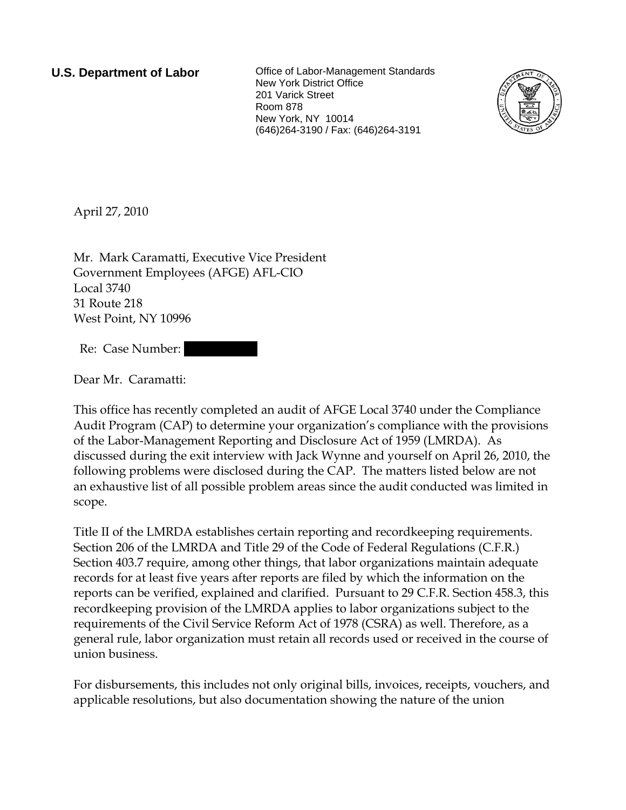**U.S. Department of Labor Collect** Office of Labor-Management Standards New York District Office 201 Varick Street Room 878 New York, NY 10014 (646)264-3190 / Fax: (646)264-3191



April 27, 2010

Mr. Mark Caramatti, Executive Vice President Government Employees (AFGE) AFL-CIO Local 3740 31 Route 218 West Point, NY 10996

Re: Case Number:

Dear Mr. Caramatti:

This office has recently completed an audit of AFGE Local 3740 under the Compliance Audit Program (CAP) to determine your organization's compliance with the provisions of the Labor-Management Reporting and Disclosure Act of 1959 (LMRDA). As discussed during the exit interview with Jack Wynne and yourself on April 26, 2010, the following problems were disclosed during the CAP. The matters listed below are not an exhaustive list of all possible problem areas since the audit conducted was limited in scope.

Title II of the LMRDA establishes certain reporting and recordkeeping requirements. Section 206 of the LMRDA and Title 29 of the Code of Federal Regulations (C.F.R.) Section 403.7 require, among other things, that labor organizations maintain adequate records for at least five years after reports are filed by which the information on the reports can be verified, explained and clarified. Pursuant to 29 C.F.R. Section 458.3, this recordkeeping provision of the LMRDA applies to labor organizations subject to the requirements of the Civil Service Reform Act of 1978 (CSRA) as well. Therefore, as a general rule, labor organization must retain all records used or received in the course of union business.

For disbursements, this includes not only original bills, invoices, receipts, vouchers, and applicable resolutions, but also documentation showing the nature of the union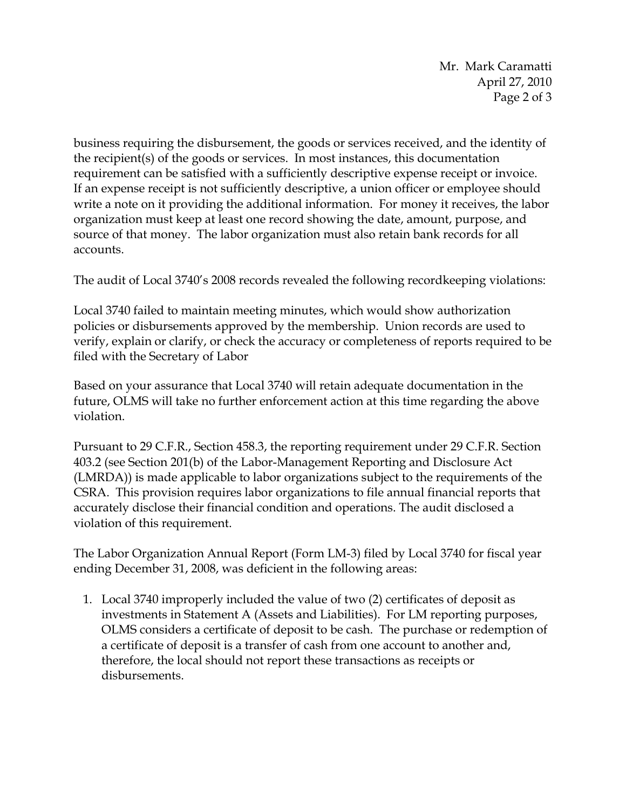Mr. Mark Caramatti April 27, 2010 Page 2 of 3

business requiring the disbursement, the goods or services received, and the identity of the recipient(s) of the goods or services. In most instances, this documentation requirement can be satisfied with a sufficiently descriptive expense receipt or invoice. If an expense receipt is not sufficiently descriptive, a union officer or employee should write a note on it providing the additional information. For money it receives, the labor organization must keep at least one record showing the date, amount, purpose, and source of that money. The labor organization must also retain bank records for all accounts.

The audit of Local 3740's 2008 records revealed the following recordkeeping violations:

Local 3740 failed to maintain meeting minutes, which would show authorization policies or disbursements approved by the membership. Union records are used to verify, explain or clarify, or check the accuracy or completeness of reports required to be filed with the Secretary of Labor

Based on your assurance that Local 3740 will retain adequate documentation in the future, OLMS will take no further enforcement action at this time regarding the above violation.

Pursuant to 29 C.F.R., Section 458.3, the reporting requirement under 29 C.F.R. Section 403.2 (see Section 201(b) of the Labor-Management Reporting and Disclosure Act (LMRDA)) is made applicable to labor organizations subject to the requirements of the CSRA. This provision requires labor organizations to file annual financial reports that accurately disclose their financial condition and operations. The audit disclosed a violation of this requirement.

The Labor Organization Annual Report (Form LM-3) filed by Local 3740 for fiscal year ending December 31, 2008, was deficient in the following areas:

1. Local 3740 improperly included the value of two (2) certificates of deposit as investments in Statement A (Assets and Liabilities). For LM reporting purposes, OLMS considers a certificate of deposit to be cash. The purchase or redemption of a certificate of deposit is a transfer of cash from one account to another and, therefore, the local should not report these transactions as receipts or disbursements.